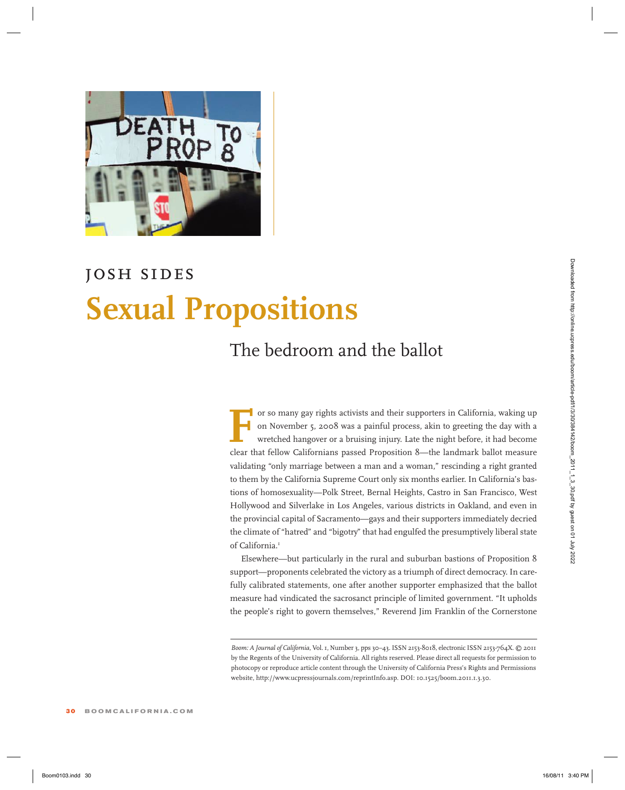

### *josh sides*

# **Sexual Propositions**

### The bedroom and the ballot

For so many gay rights activists and their supporters in California, waking up<br>on November 5, 2008 was a painful process, akin to greeting the day with a<br>wretched hangover or a bruising injury. Late the night before, it ha on November 5, 2008 was a painful process, akin to greeting the day with a wretched hangover or a bruising injury. Late the night before, it had become clear that fellow Californians passed Proposition 8—the landmark ballot measure validating "only marriage between a man and a woman," rescinding a right granted to them by the California Supreme Court only six months earlier. In California's bastions of homosexuality—Polk Street, Bernal Heights, Castro in San Francisco, West Hollywood and Silverlake in Los Angeles, various districts in Oakland, and even in the provincial capital of Sacramento—gays and their supporters immediately decried the climate of "hatred" and "bigotry" that had engulfed the presumptively liberal state of California.<sup>1</sup> **Sexual Proposition** 3<br> **Boom 2023.** The bedroom and the ballot<br>  $\frac{1}{2}$  or weaverage right acrease and their expones in Citieria, saking an<br>  $\frac{1}{2}$  or weakend larger or a busing larger and boom/article-pdf/2022. Als

Elsewhere—but particularly in the rural and suburban bastions of Proposition 8 support—proponents celebrated the victory as a triumph of direct democracy. In carefully calibrated statements, one after another supporter emphasized that the ballot measure had vindicated the sacrosanct principle of limited government. "It upholds the people's right to govern themselves," Reverend Jim Franklin of the Cornerstone

*Boom: A Journal of California,* Vol.1, Number 3, pps 30–43.ISSN 2153-8018, electronic ISSN 2153-764X. © 2011 by the Regents of the University of California. All rights reserved. Please direct all requests for permission to photocopy or reproduce article content through the University of California Press's Rights and Permissions website, http://www.ucpressjournals.com/reprintInfo.asp. DOI: 10.1525/boom.2011.1.3.30.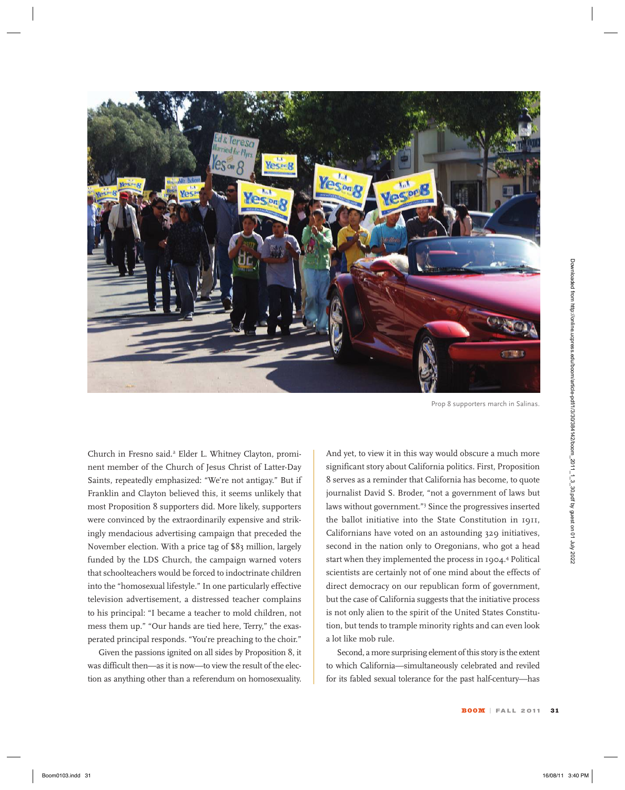

Prop 8 supporters march in Salinas.

Church in Fresno said.2 Elder L. Whitney Clayton, prominent member of the Church of Jesus Christ of Latter-Day Saints, repeatedly emphasized: "We're not antigay." But if Franklin and Clayton believed this, it seems unlikely that most Proposition 8 supporters did. More likely, supporters were convinced by the extraordinarily expensive and strikingly mendacious advertising campaign that preceded the November election. With a price tag of \$83 million, largely funded by the LDS Church, the campaign warned voters that schoolteachers would be forced to indoctrinate children into the "homosexual lifestyle." In one particularly effective television advertisement, a distressed teacher complains to his principal: "I became a teacher to mold children, not mess them up." "Our hands are tied here, Terry," the exasperated principal responds. "You're preaching to the choir."

Given the passions ignited on all sides by Proposition 8, it was difficult then—as it is now—to view the result of the election as anything other than a referendum on homosexuality. And yet, to view it in this way would obscure a much more significant story about California politics. First, Proposition 8 serves as a reminder that California has become, to quote journalist David S. Broder, "not a government of laws but laws without government."3 Since the progressives inserted the ballot initiative into the State Constitution in 1911, Californians have voted on an astounding 329 initiatives, second in the nation only to Oregonians, who got a head start when they implemented the process in 1904.4 Political scientists are certainly not of one mind about the effects of direct democracy on our republican form of government, but the case of California suggests that the initiative process is not only alien to the spirit of the United States Constitution, but tends to trample minority rights and can even look a lot like mob rule.

Second, a more surprising element of this story is the extent to which California—simultaneously celebrated and reviled for its fabled sexual tolerance for the past half-century—has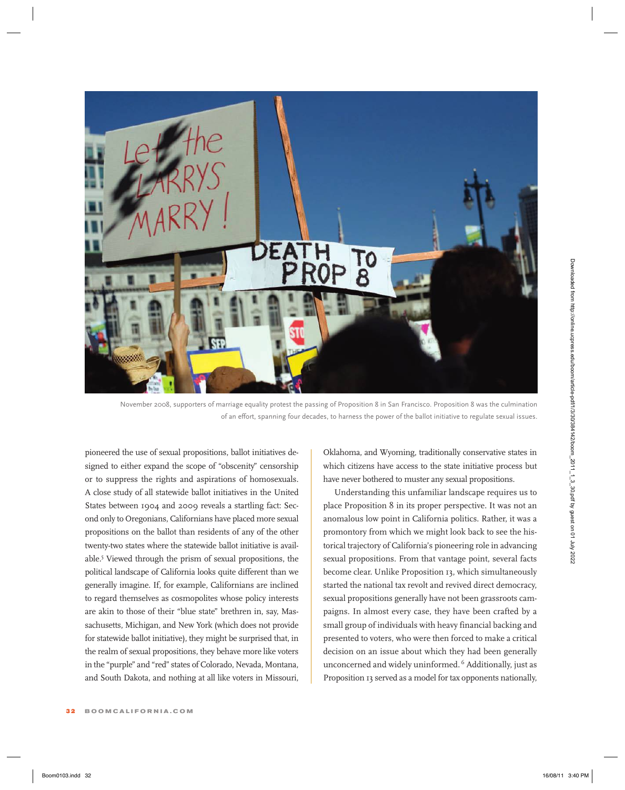

November 2008, supporters of marriage equality protest the passing of Proposition 8 in San Francisco. Proposition 8 was the culmination of an effort, spanning four decades, to harness the power of the ballot initiative to regulate sexual issues.

pioneered the use of sexual propositions, ballot initiatives designed to either expand the scope of "obscenity" censorship or to suppress the rights and aspirations of homosexuals. A close study of all statewide ballot initiatives in the United States between 1904 and 2009 reveals a startling fact: Second only to Oregonians, Californians have placed more sexual propositions on the ballot than residents of any of the other twenty-two states where the statewide ballot initiative is available.5 Viewed through the prism of sexual propositions, the political landscape of California looks quite different than we generally imagine. If, for example, Californians are inclined to regard themselves as cosmopolites whose policy interests are akin to those of their "blue state" brethren in, say, Massachusetts, Michigan, and New York (which does not provide for statewide ballot initiative), they might be surprised that, in the realm of sexual propositions, they behave more like voters in the "purple" and "red" states of Colorado, Nevada, Montana, and South Dakota, and nothing at all like voters in Missouri,

32 **boomcalifornia . com**

Oklahoma, and Wyoming, traditionally conservative states in which citizens have access to the state initiative process but have never bothered to muster any sexual propositions.

Understanding this unfamiliar landscape requires us to place Proposition 8 in its proper perspective. It was not an anomalous low point in California politics. Rather, it was a promontory from which we might look back to see the historical trajectory of California's pioneering role in advancing sexual propositions. From that vantage point, several facts become clear. Unlike Proposition 13, which simultaneously started the national tax revolt and revived direct democracy, sexual propositions generally have not been grassroots campaigns. In almost every case, they have been crafted by a small group of individuals with heavy financial backing and presented to voters, who were then forced to make a critical decision on an issue about which they had been generally unconcerned and widely uninformed. <sup>6</sup> Additionally, just as Proposition 13 served as a model for tax opponents nationally,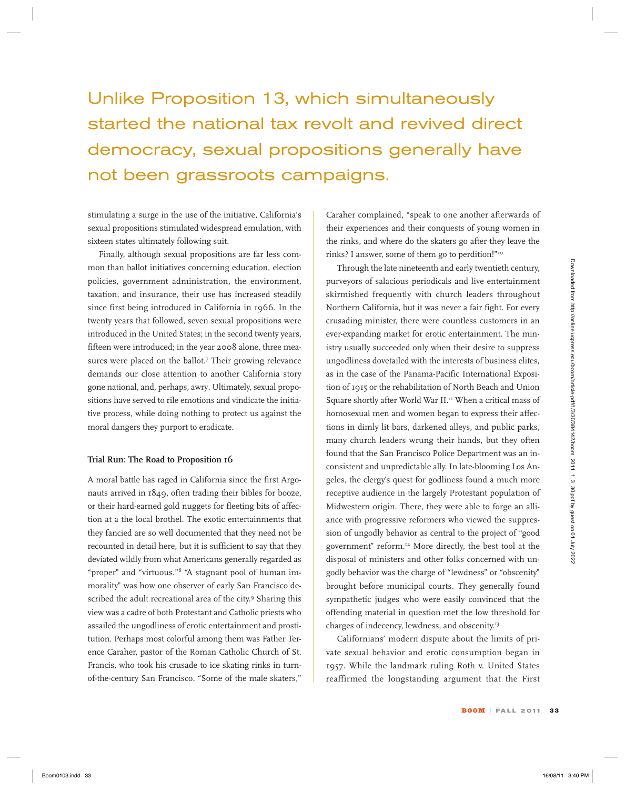# Unlike Proposition 13, which simultaneously started the national tax revolt and revived direct democracy, sexual propositions generally have not been grassroots campaigns.

stimulating a surge in the use of the initiative, California's sexual propositions stimulated widespread emulation, with sixteen states ultimately following suit.

Finally, although sexual propositions are far less common than ballot initiatives concerning education, election policies, government administration, the environment, taxation, and insurance, their use has increased steadily since first being introduced in California in 1966. In the twenty years that followed, seven sexual propositions were introduced in the United States; in the second twenty years, fifteen were introduced; in the year 2008 alone, three measures were placed on the ballot.<sup>7</sup> Their growing relevance demands our close attention to another California story gone national, and, perhaps, awry*.* Ultimately, sexual propositions have served to rile emotions and vindicate the initiative process, while doing nothing to protect us against the moral dangers they purport to eradicate.

### **Trial Run: The Road to Proposition 16**

A moral battle has raged in California since the first Argonauts arrived in 1849, often trading their bibles for booze, or their hard-earned gold nuggets for fleeting bits of affection at a the local brothel. The exotic entertainments that they fancied are so well documented that they need not be recounted in detail here, but it is sufficient to say that they deviated wildly from what Americans generally regarded as "proper" and "virtuous."8 "A stagnant pool of human immorality" was how one observer of early San Francisco described the adult recreational area of the city.<sup>9</sup> Sharing this view was a cadre of both Protestant and Catholic priests who assailed the ungodliness of erotic entertainment and prostitution. Perhaps most colorful among them was Father Terence Caraher, pastor of the Roman Catholic Church of St. Francis, who took his crusade to ice skating rinks in turnof-the-century San Francisco. "Some of the male skaters,"

Caraher complained, "speak to one another afterwards of their experiences and their conquests of young women in the rinks, and where do the skaters go after they leave the rinks? I answer, some of them go to perdition!"<sup>10</sup>

Through the late nineteenth and early twentieth century, purveyors of salacious periodicals and live entertainment skirmished frequently with church leaders throughout Northern California, but it was never a fair fight. For every crusading minister, there were countless customers in an ever-expanding market for erotic entertainment. The ministry usually succeeded only when their desire to suppress ungodliness dovetailed with the interests of business elites, as in the case of the Panama-Pacific International Exposition of 1915 or the rehabilitation of North Beach and Union Square shortly after World War II.<sup>11</sup> When a critical mass of homosexual men and women began to express their affections in dimly lit bars, darkened alleys, and public parks, many church leaders wrung their hands, but they often found that the San Francisco Police Department was an inconsistent and unpredictable ally. In late-blooming Los Angeles, the clergy's quest for godliness found a much more receptive audience in the largely Protestant population of Midwestern origin. There, they were able to forge an alliance with progressive reformers who viewed the suppression of ungodly behavior as central to the project of "good government" reform.12 More directly, the best tool at the disposal of ministers and other folks concerned with ungodly behavior was the charge of "lewdness" or "obscenity" brought before municipal courts. They generally found sympathetic judges who were easily convinced that the offending material in question met the low threshold for charges of indecency, lewdness, and obscenity. 13 where have been the tried in the state of the state of the state of the state of the state of the state of the state of the state of the state of the state of the state of the state of the state of the state of the state

Californians' modern dispute about the limits of private sexual behavior and erotic consumption began in 1957. While the landmark ruling Roth v. United States reaffirmed the longstanding argument that the First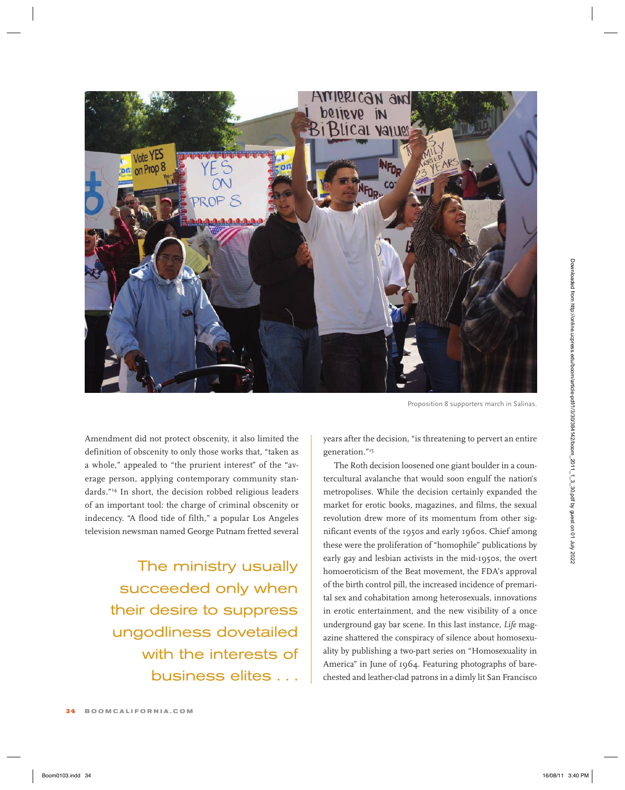

Proposition 8 supporters march in Salinas.

Amendment did not protect obscenity, it also limited the definition of obscenity to only those works that, "taken as a whole," appealed to "the prurient interest" of the "average person, applying contemporary community standards."14 In short, the decision robbed religious leaders of an important tool: the charge of criminal obscenity or indecency. "A flood tide of filth," a popular Los Angeles television newsman named George Putnam fretted several

> The ministry usually succeeded only when their desire to suppress ungodliness dovetailed with the interests of business elites . . .

years after the decision, "is threatening to pervert an entire generation."15

The Roth decision loosened one giant boulder in a countercultural avalanche that would soon engulf the nation's metropolises. While the decision certainly expanded the market for erotic books, magazines, and films, the sexual revolution drew more of its momentum from other significant events of the 1950s and early 1960s. Chief among these were the proliferation of "homophile" publications by early gay and lesbian activists in the mid-1950s, the overt homoeroticism of the Beat movement, the FDA's approval of the birth control pill, the increased incidence of premarital sex and cohabitation among heterosexuals, innovations in erotic entertainment, and the new visibility of a once underground gay bar scene. In this last instance, *Life* magazine shattered the conspiracy of silence about homosexuality by publishing a two-part series on "Homosexuality in America" in June of 1964. Featuring photographs of barechested and leather-clad patrons in a dimly lit San Francisco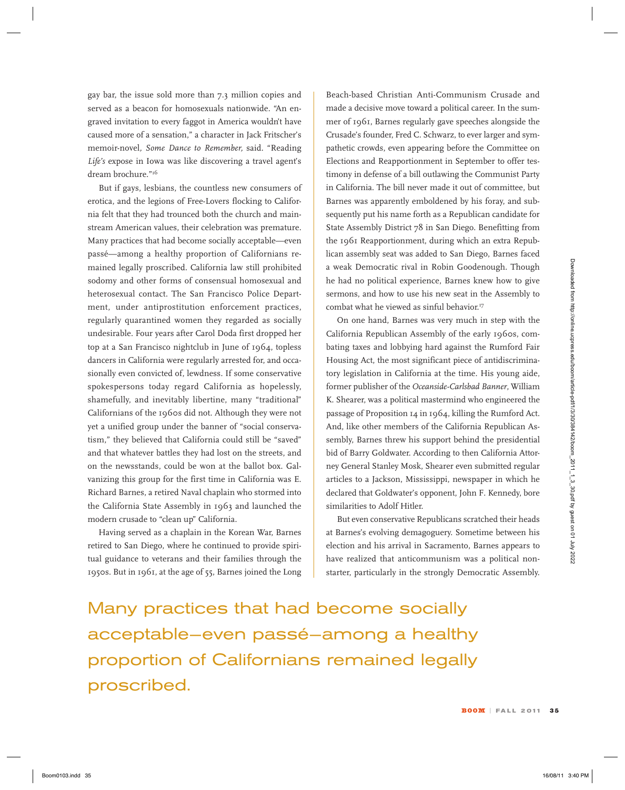gay bar, the issue sold more than 7.3 million copies and served as a beacon for homosexuals nationwide. "An engraved invitation to every faggot in America wouldn't have caused more of a sensation," a character in Jack Fritscher's memoir-novel*, Some Dance to Remember,* said. "Reading *Life's* expose in Iowa was like discovering a travel agent's dream brochure."<sup>16</sup>

But if gays, lesbians, the countless new consumers of erotica, and the legions of Free-Lovers flocking to California felt that they had trounced both the church and mainstream American values, their celebration was premature. Many practices that had become socially acceptable—even passé—among a healthy proportion of Californians remained legally proscribed. California law still prohibited sodomy and other forms of consensual homosexual and heterosexual contact. The San Francisco Police Department, under antiprostitution enforcement practices, regularly quarantined women they regarded as socially undesirable. Four years after Carol Doda first dropped her top at a San Francisco nightclub in June of 1964, topless dancers in California were regularly arrested for, and occasionally even convicted of, lewdness. If some conservative spokespersons today regard California as hopelessly, shamefully, and inevitably libertine, many "traditional" Californians of the 1960s did not. Although they were not yet a unified group under the banner of "social conservatism," they believed that California could still be "saved" and that whatever battles they had lost on the streets, and on the newsstands, could be won at the ballot box. Galvanizing this group for the first time in California was E. Richard Barnes, a retired Naval chaplain who stormed into the California State Assembly in 1963 and launched the modern crusade to "clean up" California. Book and the set of the set of the set of the set of the Robin Gold of the set of the set of the set of the set of the set of the set of the set of the set of the set of the set of the set of the set of the set of the set

Having served as a chaplain in the Korean War, Barnes retired to San Diego, where he continued to provide spiritual guidance to veterans and their families through the 1950s. But in 1961, at the age of 55, Barnes joined the Long

Beach-based Christian Anti-Communism Crusade and made a decisive move toward a political career. In the summer of 1961, Barnes regularly gave speeches alongside the Crusade's founder, Fred C. Schwarz, to ever larger and sympathetic crowds, even appearing before the Committee on Elections and Reapportionment in September to offer testimony in defense of a bill outlawing the Communist Party in California. The bill never made it out of committee, but Barnes was apparently emboldened by his foray, and subsequently put his name forth as a Republican candidate for State Assembly District 78 in San Diego. Benefitting from the 1961 Reapportionment, during which an extra Republican assembly seat was added to San Diego, Barnes faced a weak Democratic rival in Robin Goodenough. Though he had no political experience, Barnes knew how to give sermons, and how to use his new seat in the Assembly to combat what he viewed as sinful behavior. 17

On one hand, Barnes was very much in step with the California Republican Assembly of the early 1960s, combating taxes and lobbying hard against the Rumford Fair Housing Act, the most significant piece of antidiscriminatory legislation in California at the time. His young aide, former publisher of the *Oceanside-Carlsbad Banner*, William K. Shearer, was a political mastermind who engineered the passage of Proposition 14 in 1964, killing the Rumford Act. And, like other members of the California Republican Assembly, Barnes threw his support behind the presidential bid of Barry Goldwater. According to then California Attorney General Stanley Mosk, Shearer even submitted regular articles to a Jackson, Mississippi, newspaper in which he declared that Goldwater's opponent, John F. Kennedy, bore similarities to Adolf Hitler.

But even conservative Republicans scratched their heads at Barnes's evolving demagoguery. Sometime between his election and his arrival in Sacramento, Barnes appears to have realized that anticommunism was a political nonstarter, particularly in the strongly Democratic Assembly.

Many practices that had become socially acceptable—even passé—among a healthy proportion of Californians remained legally proscribed.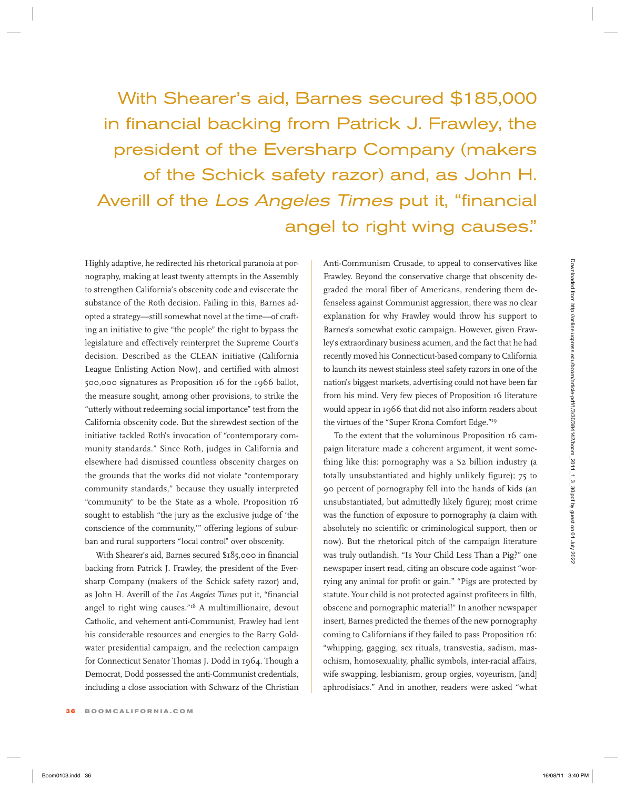With Shearer's aid, Barnes secured \$185,000 in financial backing from Patrick J. Frawley, the president of the Eversharp Company (makers of the Schick safety razor) and, as John H. Averill of the Los Angeles Times put it, "financial angel to right wing causes."

Highly adaptive, he redirected his rhetorical paranoia at pornography, making at least twenty attempts in the Assembly to strengthen California's obscenity code and eviscerate the substance of the Roth decision. Failing in this, Barnes adopted a strategy—still somewhat novel at the time—of crafting an initiative to give "the people" the right to bypass the legislature and effectively reinterpret the Supreme Court's decision. Described as the CLEAN initiative (California League Enlisting Action Now), and certified with almost 500,000 signatures as Proposition 16 for the 1966 ballot, the measure sought, among other provisions, to strike the "utterly without redeeming social importance" test from the California obscenity code. But the shrewdest section of the initiative tackled Roth's invocation of "contemporary community standards." Since Roth, judges in California and elsewhere had dismissed countless obscenity charges on the grounds that the works did not violate "contemporary community standards," because they usually interpreted "community" to be the State as a whole. Proposition 16 sought to establish "the jury as the exclusive judge of 'the conscience of the community,'" offering legions of suburban and rural supporters "local control" over obscenity. Uniph shorted that events between the between the particle cannot are conserved time to conserve the standard conserved from the standard conserved from the standard conserved from the standard conserved from the standard

With Shearer's aid, Barnes secured \$185,000 in financial backing from Patrick J. Frawley, the president of the Eversharp Company (makers of the Schick safety razor) and, as John H. Averill of the *Los Angeles Times* put it, "financial angel to right wing causes."18 A multimillionaire, devout Catholic, and vehement anti-Communist, Frawley had lent his considerable resources and energies to the Barry Goldwater presidential campaign, and the reelection campaign for Connecticut Senator Thomas J. Dodd in 1964. Though a Democrat, Dodd possessed the anti-Communist credentials, including a close association with Schwarz of the Christian Anti-Communism Crusade, to appeal to conservatives like Frawley. Beyond the conservative charge that obscenity degraded the moral fiber of Americans, rendering them defenseless against Communist aggression, there was no clear explanation for why Frawley would throw his support to Barnes's somewhat exotic campaign. However, given Frawley's extraordinary business acumen, and the fact that he had recently moved his Connecticut-based company to California to launch its newest stainless steel safety razors in one of the nation's biggest markets, advertising could not have been far from his mind. Very few pieces of Proposition 16 literature would appear in 1966 that did not also inform readers about the virtues of the "Super Krona Comfort Edge."19

To the extent that the voluminous Proposition 16 campaign literature made a coherent argument, it went something like this: pornography was a \$2 billion industry (a totally unsubstantiated and highly unlikely figure); 75 to 90 percent of pornography fell into the hands of kids (an unsubstantiated, but admittedly likely figure); most crime was the function of exposure to pornography (a claim with absolutely no scientific or criminological support, then or now). But the rhetorical pitch of the campaign literature was truly outlandish. "Is Your Child Less Than a Pig?" one newspaper insert read, citing an obscure code against "worrying any animal for profit or gain." "Pigs are protected by statute. Your child is not protected against profiteers in filth, obscene and pornographic material!" In another newspaper insert, Barnes predicted the themes of the new pornography coming to Californians if they failed to pass Proposition 16: "whipping, gagging, sex rituals, transvestia, sadism, masochism, homosexuality, phallic symbols, inter-racial affairs, wife swapping, lesbianism, group orgies, voyeurism, [and] aphrodisiacs." And in another, readers were asked "what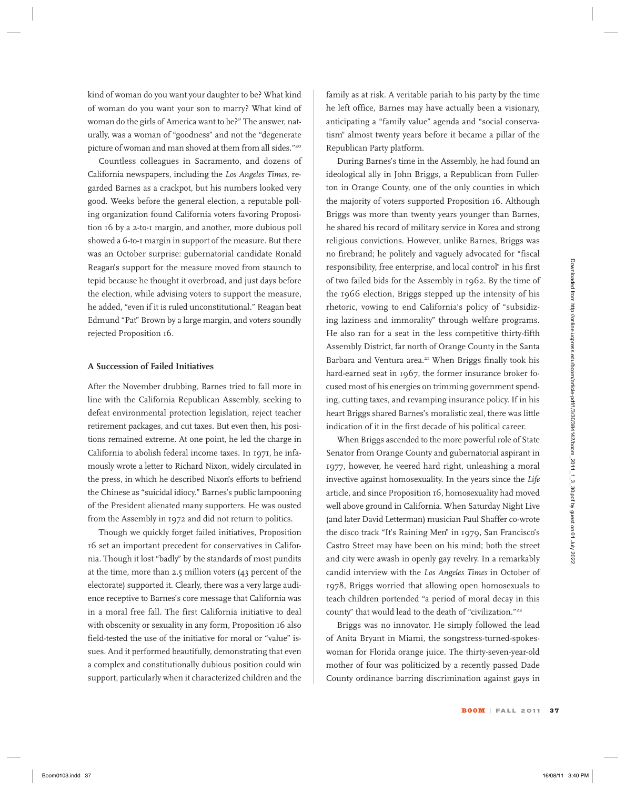kind of woman do you want your daughter to be? What kind of woman do you want your son to marry? What kind of woman do the girls of America want to be?" The answer, naturally, was a woman of "goodness" and not the "degenerate picture of woman and man shoved at them from all sides."20

Countless colleagues in Sacramento, and dozens of California newspapers, including the *Los Angeles Times*, regarded Barnes as a crackpot, but his numbers looked very good. Weeks before the general election, a reputable polling organization found California voters favoring Proposition 16 by a 2-to-1 margin, and another, more dubious poll showed a 6-to-1 margin in support of the measure. But there was an October surprise: gubernatorial candidate Ronald Reagan's support for the measure moved from staunch to tepid because he thought it overbroad, and just days before the election, while advising voters to support the measure, he added, "even if it is ruled unconstitutional." Reagan beat Edmund "Pat" Brown by a large margin, and voters soundly rejected Proposition 16.

### **A Succession of Failed Initiatives**

After the November drubbing, Barnes tried to fall more in line with the California Republican Assembly, seeking to defeat environmental protection legislation, reject teacher retirement packages, and cut taxes. But even then, his positions remained extreme. At one point, he led the charge in California to abolish federal income taxes. In 1971, he infamously wrote a letter to Richard Nixon, widely circulated in the press, in which he described Nixon's efforts to befriend the Chinese as "suicidal idiocy." Barnes's public lampooning of the President alienated many supporters. He was ousted from the Assembly in 1972 and did not return to politics.

Though we quickly forget failed initiatives, Proposition 16 set an important precedent for conservatives in California. Though it lost "badly" by the standards of most pundits at the time, more than 2.5 million voters (43 percent of the electorate) supported it. Clearly, there was a very large audience receptive to Barnes's core message that California was in a moral free fall. The first California initiative to deal with obscenity or sexuality in any form, Proposition 16 also field-tested the use of the initiative for moral or "value" issues. And it performed beautifully, demonstrating that even a complex and constitutionally dubious position could win support, particularly when it characterized children and the

family as at risk. A veritable pariah to his party by the time he left office, Barnes may have actually been a visionary, anticipating a "family value" agenda and "social conservatism" almost twenty years before it became a pillar of the Republican Party platform.

During Barnes's time in the Assembly, he had found an ideological ally in John Briggs, a Republican from Fullerton in Orange County, one of the only counties in which the majority of voters supported Proposition 16. Although Briggs was more than twenty years younger than Barnes, he shared his record of military service in Korea and strong religious convictions. However, unlike Barnes, Briggs was no firebrand; he politely and vaguely advocated for "fiscal responsibility, free enterprise, and local control" in his first of two failed bids for the Assembly in 1962. By the time of the 1966 election, Briggs stepped up the intensity of his rhetoric, vowing to end California's policy of "subsidizing laziness and immorality" through welfare programs. He also ran for a seat in the less competitive thirty-fifth Assembly District, far north of Orange County in the Santa Barbara and Ventura area.<sup>21</sup> When Briggs finally took his hard-earned seat in 1967, the former insurance broker focused most of his energies on trimming government spending, cutting taxes, and revamping insurance policy. If in his heart Briggs shared Barnes's moralistic zeal, there was little indication of it in the first decade of his political career.

When Briggs ascended to the more powerful role of State Senator from Orange County and gubernatorial aspirant in 1977, however, he veered hard right, unleashing a moral invective against homosexuality. In the years since the *Life* article, and since Proposition 16, homosexuality had moved well above ground in California. When Saturday Night Live (and later David Letterman) musician Paul Shaffer co-wrote the disco track "It's Raining Men" in 1979, San Francisco's Castro Street may have been on his mind; both the street and city were awash in openly gay revelry. In a remarkably candid interview with the *Los Angeles Times* in October of 1978, Briggs worried that allowing open homosexuals to teach children portended "a period of moral decay in this county" that would lead to the death of "civilization."22 Boom is a space for the transmistant of the controller to the controller state in the controller state of the state of the state of the state of the state of the state of the state of the state of the state of the state o

Briggs was no innovator. He simply followed the lead of Anita Bryant in Miami, the songstress-turned-spokeswoman for Florida orange juice. The thirty-seven-year-old mother of four was politicized by a recently passed Dade County ordinance barring discrimination against gays in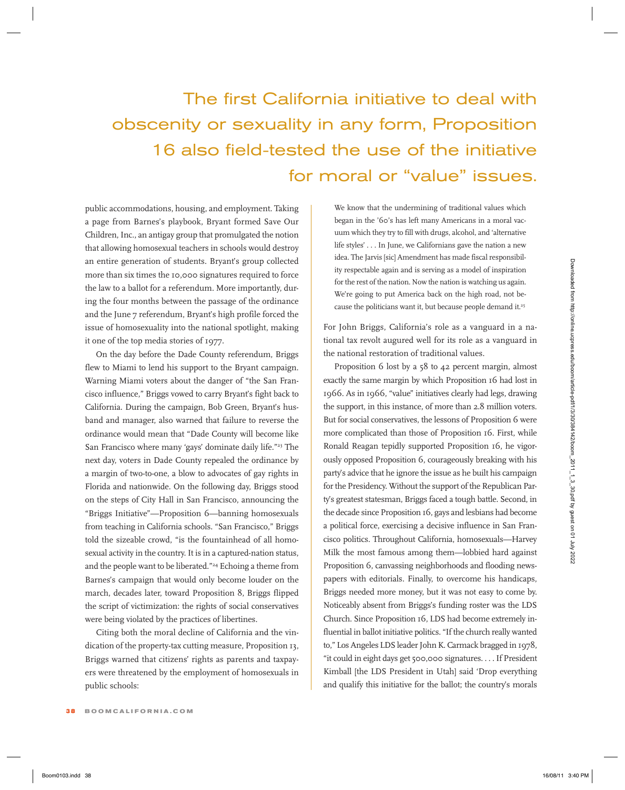# The first California initiative to deal with obscenity or sexuality in any form, Proposition 16 also field-tested the use of the initiative for moral or "value" issues.

public accommodations, housing, and employment. Taking a page from Barnes's playbook, Bryant formed Save Our Children, Inc., an antigay group that promulgated the notion that allowing homosexual teachers in schools would destroy an entire generation of students. Bryant's group collected more than six times the 10,000 signatures required to force the law to a ballot for a referendum. More importantly, during the four months between the passage of the ordinance and the June 7 referendum, Bryant's high profile forced the issue of homosexuality into the national spotlight, making it one of the top media stories of 1977.

On the day before the Dade County referendum, Briggs flew to Miami to lend his support to the Bryant campaign. Warning Miami voters about the danger of "the San Francisco influence," Briggs vowed to carry Bryant's fight back to California. During the campaign, Bob Green, Bryant's husband and manager, also warned that failure to reverse the ordinance would mean that "Dade County will become like San Francisco where many 'gays' dominate daily life."<sup>23</sup> The next day, voters in Dade County repealed the ordinance by a margin of two-to-one, a blow to advocates of gay rights in Florida and nationwide. On the following day, Briggs stood on the steps of City Hall in San Francisco, announcing the "Briggs Initiative"—Proposition 6—banning homosexuals from teaching in California schools. "San Francisco," Briggs told the sizeable crowd, "is the fountainhead of all homosexual activity in the country. It is in a captured-nation status, and the people want to be liberated."<sup>24</sup> Echoing a theme from Barnes's campaign that would only become louder on the march, decades later, toward Proposition 8, Briggs flipped the script of victimization: the rights of social conservatives were being violated by the practices of libertines.

Citing both the moral decline of California and the vindication of the property-tax cutting measure, Proposition 13, Briggs warned that citizens' rights as parents and taxpayers were threatened by the employment of homosexuals in public schools:

We know that the undermining of traditional values which began in the '60's has left many Americans in a moral vacuum which they try to fill with drugs, alcohol, and 'alternative life styles' . . . In June, we Californians gave the nation a new idea. The Jarvis [sic] Amendment has made fiscal responsibility respectable again and is serving as a model of inspiration for the rest of the nation. Now the nation is watching us again. We're going to put America back on the high road, not because the politicians want it, but because people demand it.<sup>25</sup>

For John Briggs, California's role as a vanguard in a national tax revolt augured well for its role as a vanguard in the national restoration of traditional values.

Proposition 6 lost by a 58 to 42 percent margin, almost exactly the same margin by which Proposition 16 had lost in 1966. As in 1966, "value" initiatives clearly had legs, drawing the support, in this instance, of more than 2.8 million voters. But for social conservatives, the lessons of Proposition 6 were more complicated than those of Proposition 16. First, while Ronald Reagan tepidly supported Proposition 16, he vigorously opposed Proposition 6, courageously breaking with his party's advice that he ignore the issue as he built his campaign for the Presidency. Without the support of the Republican Party's greatest statesman, Briggs faced a tough battle. Second, in the decade since Proposition 16, gays and lesbians had become a political force, exercising a decisive influence in San Francisco politics. Throughout California, homosexuals—Harvey Milk the most famous among them—lobbied hard against Proposition 6, canvassing neighborhoods and flooding newspapers with editorials. Finally, to overcome his handicaps, Briggs needed more money, but it was not easy to come by. Noticeably absent from Briggs's funding roster was the LDS Church. Since Proposition 16, LDS had become extremely influential in ballot initiative politics. "If the church really wanted to," Los Angeles LDS leader John K. Carmack bragged in 1978, "it could in eight days get 500,000 signatures. . . . If President Kimball [the LDS President in Utah] said 'Drop everything and qualify this initiative for the ballot; the country's morals Boom the state of the time in the state of the state of the state of the state of the state of the state of the state of the state of the state of the state of the state of the state of the state of the state of the state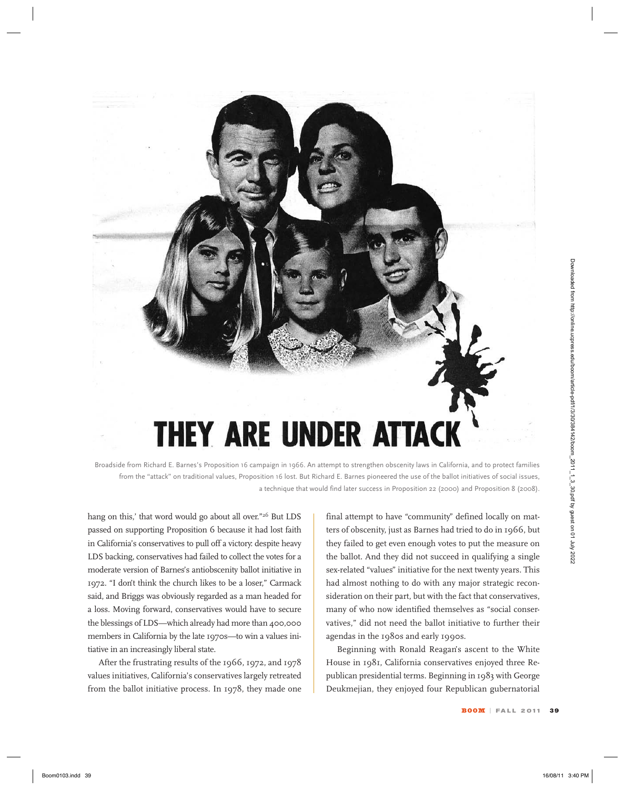

Broadside from Richard E. Barnes's Proposition 16 campaign in 1966. An attempt to strengthen obscenity laws in California, and to protect families from the "attack" on traditional values, Proposition 16 lost. But Richard E. Barnes pioneered the use of the ballot initiatives of social issues, a technique that would find later success in Proposition 22 (2000) and Proposition 8 (2008).

hang on this,' that word would go about all over."<sup>26</sup> But LDS passed on supporting Proposition 6 because it had lost faith in California's conservatives to pull off a victory: despite heavy LDS backing, conservatives had failed to collect the votes for a moderate version of Barnes's antiobscenity ballot initiative in 1972. "I don't think the church likes to be a loser," Carmack said, and Briggs was obviously regarded as a man headed for a loss. Moving forward, conservatives would have to secure the blessings of LDS—which already had more than 400,000 members in California by the late 1970s—to win a values initiative in an increasingly liberal state.

After the frustrating results of the 1966, 1972, and 1978 values initiatives, California's conservatives largely retreated from the ballot initiative process. In 1978, they made one final attempt to have "community" defined locally on matters of obscenity, just as Barnes had tried to do in 1966, but they failed to get even enough votes to put the measure on the ballot. And they did not succeed in qualifying a single sex-related "values" initiative for the next twenty years. This had almost nothing to do with any major strategic reconsideration on their part, but with the fact that conservatives, many of who now identified themselves as "social conservatives," did not need the ballot initiative to further their agendas in the 1980s and early 1990s.

Beginning with Ronald Reagan's ascent to the White House in 1981, California conservatives enjoyed three Republican presidential terms. Beginning in 1983 with George Deukmejian, they enjoyed four Republican gubernatorial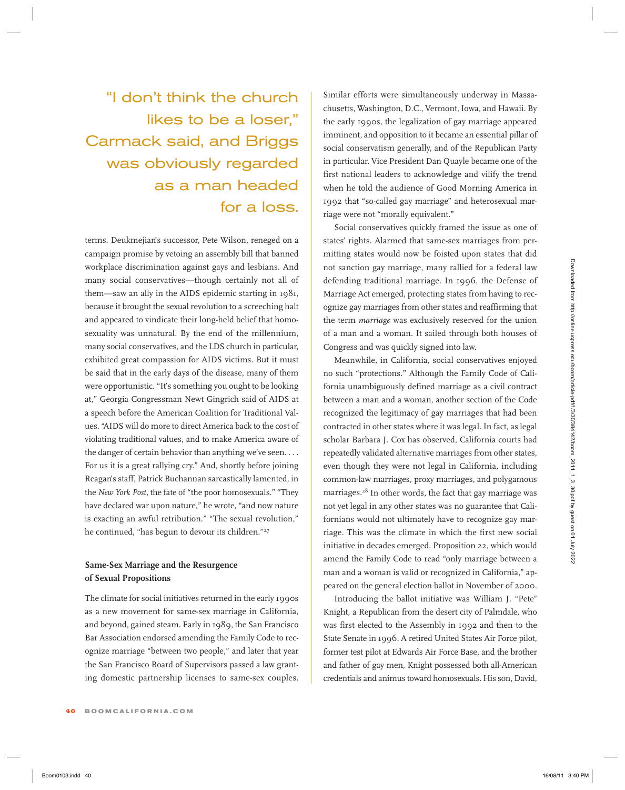## "I don't think the church likes to be a loser," Carmack said, and Briggs was obviously regarded as a man headed for a loss.

terms. Deukmejian's successor, Pete Wilson, reneged on a campaign promise by vetoing an assembly bill that banned workplace discrimination against gays and lesbians. And many social conservatives—though certainly not all of them—saw an ally in the AIDS epidemic starting in 1981, because it brought the sexual revolution to a screeching halt and appeared to vindicate their long-held belief that homosexuality was unnatural. By the end of the millennium, many social conservatives, and the LDS church in particular, exhibited great compassion for AIDS victims. But it must be said that in the early days of the disease, many of them were opportunistic. "It's something you ought to be looking at," Georgia Congressman Newt Gingrich said of AIDS at a speech before the American Coalition for Traditional Values. "AIDS will do more to direct America back to the cost of violating traditional values, and to make America aware of the danger of certain behavior than anything we've seen. . . . For us it is a great rallying cry." And, shortly before joining Reagan's staff, Patrick Buchannan sarcastically lamented, in the *New York Post*, the fate of "the poor homosexuals." "They have declared war upon nature," he wrote, "and now nature is exacting an awful retribution." "The sexual revolution," he continued, "has begun to devour its children."<sup>27</sup> We are two states of the states (and an extend from the states) and an extendion and are two states in the state of the state of the state of the state of the state of the state of the state of the state of the state of

### **Same-Sex Marriage and the Resurgence of Sexual Propositions**

The climate for social initiatives returned in the early 1990s as a new movement for same-sex marriage in California, and beyond, gained steam. Early in 1989, the San Francisco Bar Association endorsed amending the Family Code to recognize marriage "between two people," and later that year the San Francisco Board of Supervisors passed a law granting domestic partnership licenses to same-sex couples.

Similar efforts were simultaneously underway in Massachusetts, Washington, D.C., Vermont, Iowa, and Hawaii. By the early 1990s, the legalization of gay marriage appeared imminent, and opposition to it became an essential pillar of social conservatism generally, and of the Republican Party in particular. Vice President Dan Quayle became one of the first national leaders to acknowledge and vilify the trend when he told the audience of Good Morning America in 1992 that "so-called gay marriage" and heterosexual marriage were not "morally equivalent."

Social conservatives quickly framed the issue as one of states' rights. Alarmed that same-sex marriages from permitting states would now be foisted upon states that did not sanction gay marriage, many rallied for a federal law defending traditional marriage. In 1996, the Defense of Marriage Act emerged, protecting states from having to recognize gay marriages from other states and reaffirming that the term *marriage* was exclusively reserved for the union of a man and a woman. It sailed through both houses of Congress and was quickly signed into law.

Meanwhile, in California, social conservatives enjoyed no such "protections." Although the Family Code of California unambiguously defined marriage as a civil contract between a man and a woman, another section of the Code recognized the legitimacy of gay marriages that had been contracted in other states where it was legal. In fact, as legal scholar Barbara J. Cox has observed, California courts had repeatedly validated alternative marriages from other states, even though they were not legal in California, including common-law marriages, proxy marriages, and polygamous marriages.28 In other words, the fact that gay marriage was not yet legal in any other states was no guarantee that Californians would not ultimately have to recognize gay marriage. This was the climate in which the first new social initiative in decades emerged. Proposition 22, which would amend the Family Code to read "only marriage between a man and a woman is valid or recognized in California," appeared on the general election ballot in November of 2000.

Introducing the ballot initiative was William J. "Pete" Knight, a Republican from the desert city of Palmdale, who was first elected to the Assembly in 1992 and then to the State Senate in 1996. A retired United States Air Force pilot, former test pilot at Edwards Air Force Base, and the brother and father of gay men, Knight possessed both all-American credentials and animus toward homosexuals. His son, David,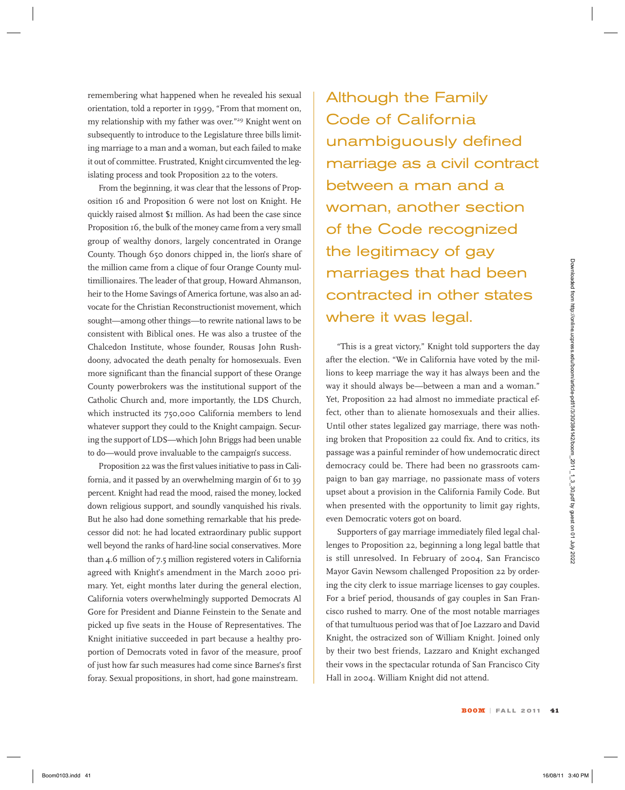remembering what happened when he revealed his sexual orientation, told a reporter in 1999, "From that moment on, my relationship with my father was over."29 Knight went on subsequently to introduce to the Legislature three bills limiting marriage to a man and a woman, but each failed to make it out of committee. Frustrated, Knight circumvented the legislating process and took Proposition 22 to the voters.

From the beginning, it was clear that the lessons of Proposition 16 and Proposition 6 were not lost on Knight. He quickly raised almost \$1 million. As had been the case since Proposition 16, the bulk of the money came from a very small group of wealthy donors, largely concentrated in Orange County. Though 650 donors chipped in, the lion's share of the million came from a clique of four Orange County multimillionaires. The leader of that group, Howard Ahmanson, heir to the Home Savings of America fortune, was also an advocate for the Christian Reconstructionist movement, which sought—among other things—to rewrite national laws to be consistent with Biblical ones. He was also a trustee of the Chalcedon Institute, whose founder, Rousas John Rushdoony, advocated the death penalty for homosexuals. Even more significant than the financial support of these Orange County powerbrokers was the institutional support of the Catholic Church and, more importantly, the LDS Church, which instructed its 750,000 California members to lend whatever support they could to the Knight campaign. Securing the support of LDS—which John Briggs had been unable to do—would prove invaluable to the campaign's success.

Proposition 22 was the first values initiative to pass in California, and it passed by an overwhelming margin of 61 to 39 percent. Knight had read the mood, raised the money, locked down religious support, and soundly vanquished his rivals. But he also had done something remarkable that his predecessor did not: he had located extraordinary public support well beyond the ranks of hard-line social conservatives. More than 4.6 million of 7.5 million registered voters in California agreed with Knight's amendment in the March 2000 primary. Yet, eight months later during the general election, California voters overwhelmingly supported Democrats Al Gore for President and Dianne Feinstein to the Senate and picked up five seats in the House of Representatives. The Knight initiative succeeded in part because a healthy proportion of Democrats voted in favor of the measure, proof of just how far such measures had come since Barnes's first foray. Sexual propositions, in short, had gone mainstream. Boom 103. In the priori and the measure of the particle of the state of the state of the state of the state of the state of the state of the state of the state of the state of the state of the state of the state of the st

Although the Family Code of California unambiguously defined marriage as a civil contract between a man and a woman, another section of the Code recognized the legitimacy of gay marriages that had been contracted in other states where it was legal.

"This is a great victory," Knight told supporters the day after the election. "We in California have voted by the millions to keep marriage the way it has always been and the way it should always be—between a man and a woman." Yet, Proposition 22 had almost no immediate practical effect, other than to alienate homosexuals and their allies. Until other states legalized gay marriage, there was nothing broken that Proposition 22 could fix. And to critics, its passage was a painful reminder of how undemocratic direct democracy could be. There had been no grassroots campaign to ban gay marriage, no passionate mass of voters upset about a provision in the California Family Code. But when presented with the opportunity to limit gay rights, even Democratic voters got on board.

Supporters of gay marriage immediately filed legal challenges to Proposition 22, beginning a long legal battle that is still unresolved. In February of 2004, San Francisco Mayor Gavin Newsom challenged Proposition 22 by ordering the city clerk to issue marriage licenses to gay couples. For a brief period, thousands of gay couples in San Francisco rushed to marry. One of the most notable marriages of that tumultuous period was that of Joe Lazzaro and David Knight, the ostracized son of William Knight. Joined only by their two best friends, Lazzaro and Knight exchanged their vows in the spectacular rotunda of San Francisco City Hall in 2004. William Knight did not attend.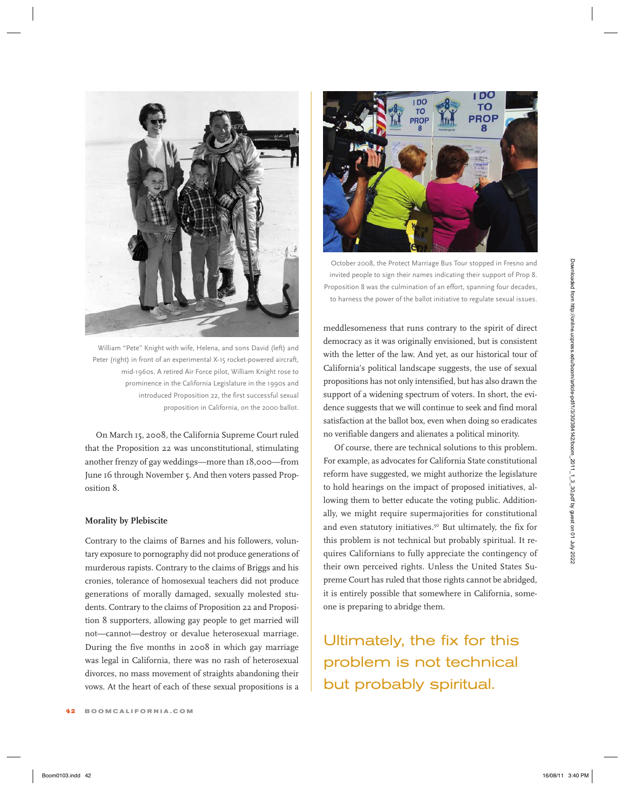

William "Pete" Knight with wife, Helena, and sons David (left) and Peter (right) in front of an experimental X-15 rocket-powered aircraft, mid-1960s. A retired Air Force pilot, William Knight rose to prominence in the California Legislature in the 1990s and introduced Proposition 22, the first successful sexual proposition in California, on the 2000 ballot.

On March 15, 2008, the California Supreme Court ruled that the Proposition 22 was unconstitutional, stimulating another frenzy of gay weddings—more than 18,000—from June 16 through November 5. And then voters passed Proposition 8.

### **Morality by Plebiscite**

Contrary to the claims of Barnes and his followers, voluntary exposure to pornography did not produce generations of murderous rapists. Contrary to the claims of Briggs and his cronies, tolerance of homosexual teachers did not produce generations of morally damaged, sexually molested students. Contrary to the claims of Proposition 22 and Proposition 8 supporters, allowing gay people to get married will not—cannot—destroy or devalue heterosexual marriage. During the five months in 2008 in which gay marriage was legal in California, there was no rash of heterosexual divorces, no mass movement of straights abandoning their vows. At the heart of each of these sexual propositions is a



October 2008, the Protect Marriage Bus Tour stopped in Fresno and invited people to sign their names indicating their support of Prop 8. Proposition 8 was the culmination of an effort, spanning four decades, to harness the power of the ballot initiative to regulate sexual issues.

meddlesomeness that runs contrary to the spirit of direct democracy as it was originally envisioned, but is consistent with the letter of the law. And yet, as our historical tour of California's political landscape suggests, the use of sexual propositions has not only intensified, but has also drawn the support of a widening spectrum of voters. In short, the evidence suggests that we will continue to seek and find moral satisfaction at the ballot box, even when doing so eradicates no verifiable dangers and alienates a political minority.

Of course, there are technical solutions to this problem. For example, as advocates for California State constitutional reform have suggested, we might authorize the legislature to hold hearings on the impact of proposed initiatives, allowing them to better educate the voting public. Additionally, we might require supermajorities for constitutional and even statutory initiatives.<sup>30</sup> But ultimately, the fix for this problem is not technical but probably spiritual. It requires Californians to fully appreciate the contingency of their own perceived rights. Unless the United States Supreme Court has ruled that those rights cannot be abridged, it is entirely possible that somewhere in California, someone is preparing to abridge them. From the main the state of the state of the state of the state of the state of the state of the state of the state of the state of the state of the state of the state of the state of the state of the state of the state of

Ultimately, the fix for this problem is not technical but probably spiritual.